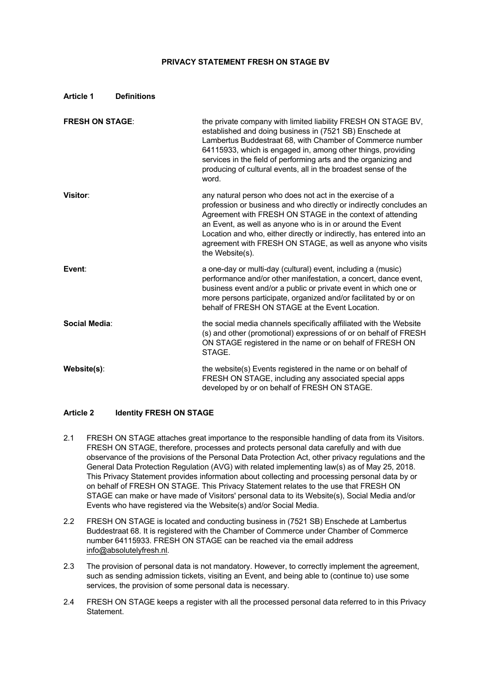## **PRIVACY STATEMENT FRESH ON STAGE BV**

| <b>FRESH ON STAGE:</b> | the private company with limited liability FRESH ON STAGE BV,<br>established and doing business in (7521 SB) Enschede at<br>Lambertus Buddestraat 68, with Chamber of Commerce number<br>64115933, which is engaged in, among other things, providing<br>services in the field of performing arts and the organizing and<br>producing of cultural events, all in the broadest sense of the<br>word.                |
|------------------------|--------------------------------------------------------------------------------------------------------------------------------------------------------------------------------------------------------------------------------------------------------------------------------------------------------------------------------------------------------------------------------------------------------------------|
| Visitor:               | any natural person who does not act in the exercise of a<br>profession or business and who directly or indirectly concludes an<br>Agreement with FRESH ON STAGE in the context of attending<br>an Event, as well as anyone who is in or around the Event<br>Location and who, either directly or indirectly, has entered into an<br>agreement with FRESH ON STAGE, as well as anyone who visits<br>the Website(s). |
| Event:                 | a one-day or multi-day (cultural) event, including a (music)<br>performance and/or other manifestation, a concert, dance event,<br>business event and/or a public or private event in which one or<br>more persons participate, organized and/or facilitated by or on<br>behalf of FRESH ON STAGE at the Event Location.                                                                                           |
| Social Media:          | the social media channels specifically affiliated with the Website<br>(s) and other (promotional) expressions of or on behalf of FRESH<br>ON STAGE registered in the name or on behalf of FRESH ON<br>STAGE.                                                                                                                                                                                                       |
| Website(s):            | the website(s) Events registered in the name or on behalf of<br>FRESH ON STAGE, including any associated special apps<br>developed by or on behalf of FRESH ON STAGE.                                                                                                                                                                                                                                              |

#### **Article 2 Identity FRESH ON STAGE**

- 2.1 FRESH ON STAGE attaches great importance to the responsible handling of data from its Visitors. FRESH ON STAGE, therefore, processes and protects personal data carefully and with due observance of the provisions of the Personal Data Protection Act, other privacy regulations and the General Data Protection Regulation (AVG) with related implementing law(s) as of May 25, 2018. This Privacy Statement provides information about collecting and processing personal data by or on behalf of FRESH ON STAGE. This Privacy Statement relates to the use that FRESH ON STAGE can make or have made of Visitors' personal data to its Website(s), Social Media and/or Events who have registered via the Website(s) and/or Social Media.
- 2.2 FRESH ON STAGE is located and conducting business in (7521 SB) Enschede at Lambertus Buddestraat 68. It is registered with the Chamber of Commerce under Chamber of Commerce number 64115933. FRESH ON STAGE can be reached via the email address info@absolutelyfresh.nl.
- 2.3 The provision of personal data is not mandatory. However, to correctly implement the agreement, such as sending admission tickets, visiting an Event, and being able to (continue to) use some services, the provision of some personal data is necessary.
- 2.4 FRESH ON STAGE keeps a register with all the processed personal data referred to in this Privacy Statement.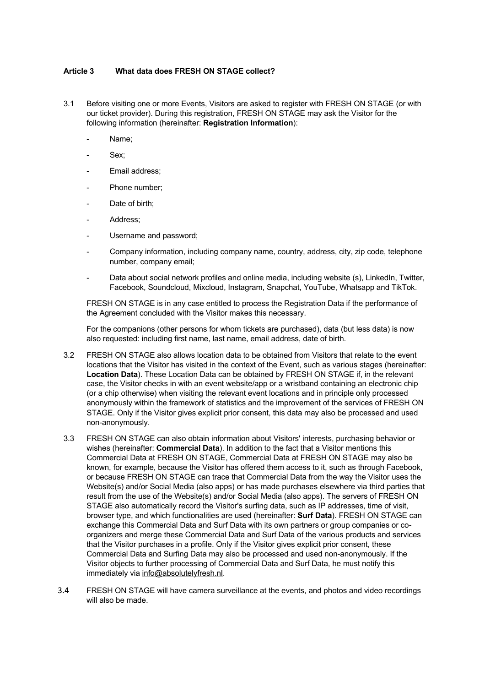#### **Article 3 What data does FRESH ON STAGE collect?**

- 3.1 Before visiting one or more Events, Visitors are asked to register with FRESH ON STAGE (or with our ticket provider). During this registration, FRESH ON STAGE may ask the Visitor for the following information (hereinafter: **Registration Information**):
	- Name:
	- Sex;
	- Email address;
	- Phone number;
	- Date of birth;
	- Address:
	- Username and password;
	- Company information, including company name, country, address, city, zip code, telephone number, company email;
	- Data about social network profiles and online media, including website (s), LinkedIn, Twitter, Facebook, Soundcloud, Mixcloud, Instagram, Snapchat, YouTube, Whatsapp and TikTok.

FRESH ON STAGE is in any case entitled to process the Registration Data if the performance of the Agreement concluded with the Visitor makes this necessary.

For the companions (other persons for whom tickets are purchased), data (but less data) is now also requested: including first name, last name, email address, date of birth.

- 3.2 FRESH ON STAGE also allows location data to be obtained from Visitors that relate to the event locations that the Visitor has visited in the context of the Event, such as various stages (hereinafter: **Location Data**). These Location Data can be obtained by FRESH ON STAGE if, in the relevant case, the Visitor checks in with an event website/app or a wristband containing an electronic chip (or a chip otherwise) when visiting the relevant event locations and in principle only processed anonymously within the framework of statistics and the improvement of the services of FRESH ON STAGE. Only if the Visitor gives explicit prior consent, this data may also be processed and used non-anonymously.
- 3.3 FRESH ON STAGE can also obtain information about Visitors' interests, purchasing behavior or wishes (hereinafter: **Commercial Data**). In addition to the fact that a Visitor mentions this Commercial Data at FRESH ON STAGE, Commercial Data at FRESH ON STAGE may also be known, for example, because the Visitor has offered them access to it, such as through Facebook, or because FRESH ON STAGE can trace that Commercial Data from the way the Visitor uses the Website(s) and/or Social Media (also apps) or has made purchases elsewhere via third parties that result from the use of the Website(s) and/or Social Media (also apps). The servers of FRESH ON STAGE also automatically record the Visitor's surfing data, such as IP addresses, time of visit, browser type, and which functionalities are used (hereinafter: **Surf Data**). FRESH ON STAGE can exchange this Commercial Data and Surf Data with its own partners or group companies or coorganizers and merge these Commercial Data and Surf Data of the various products and services that the Visitor purchases in a profile. Only if the Visitor gives explicit prior consent, these Commercial Data and Surfing Data may also be processed and used non-anonymously. If the Visitor objects to further processing of Commercial Data and Surf Data, he must notify this immediately via info@absolutelyfresh.nl.
- 3.4 FRESH ON STAGE will have camera surveillance at the events, and photos and video recordings will also be made.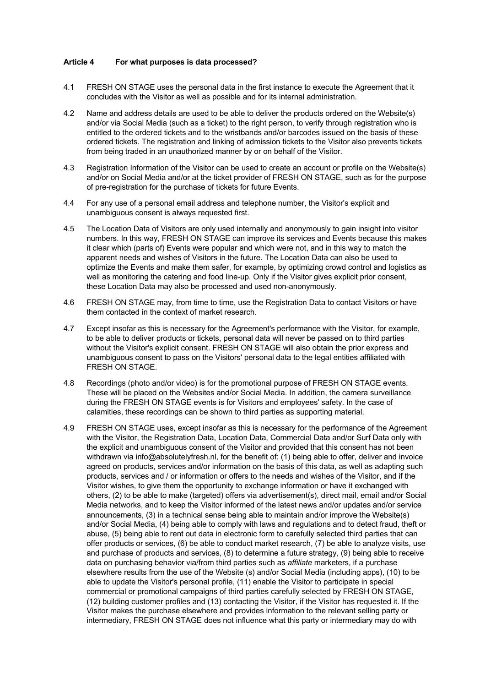#### **Article 4 For what purposes is data processed?**

- 4.1 FRESH ON STAGE uses the personal data in the first instance to execute the Agreement that it concludes with the Visitor as well as possible and for its internal administration.
- 4.2 Name and address details are used to be able to deliver the products ordered on the Website(s) and/or via Social Media (such as a ticket) to the right person, to verify through registration who is entitled to the ordered tickets and to the wristbands and/or barcodes issued on the basis of these ordered tickets. The registration and linking of admission tickets to the Visitor also prevents tickets from being traded in an unauthorized manner by or on behalf of the Visitor.
- 4.3 Registration Information of the Visitor can be used to create an account or profile on the Website(s) and/or on Social Media and/or at the ticket provider of FRESH ON STAGE, such as for the purpose of pre-registration for the purchase of tickets for future Events.
- 4.4 For any use of a personal email address and telephone number, the Visitor's explicit and unambiguous consent is always requested first.
- 4.5 The Location Data of Visitors are only used internally and anonymously to gain insight into visitor numbers. In this way, FRESH ON STAGE can improve its services and Events because this makes it clear which (parts of) Events were popular and which were not, and in this way to match the apparent needs and wishes of Visitors in the future. The Location Data can also be used to optimize the Events and make them safer, for example, by optimizing crowd control and logistics as well as monitoring the catering and food line-up. Only if the Visitor gives explicit prior consent, these Location Data may also be processed and used non-anonymously.
- 4.6 FRESH ON STAGE may, from time to time, use the Registration Data to contact Visitors or have them contacted in the context of market research.
- 4.7 Except insofar as this is necessary for the Agreement's performance with the Visitor, for example, to be able to deliver products or tickets, personal data will never be passed on to third parties without the Visitor's explicit consent. FRESH ON STAGE will also obtain the prior express and unambiguous consent to pass on the Visitors' personal data to the legal entities affiliated with FRESH ON STAGE.
- 4.8 Recordings (photo and/or video) is for the promotional purpose of FRESH ON STAGE events. These will be placed on the Websites and/or Social Media. In addition, the camera surveillance during the FRESH ON STAGE events is for Visitors and employees' safety. In the case of calamities, these recordings can be shown to third parties as supporting material.
- 4.9 FRESH ON STAGE uses, except insofar as this is necessary for the performance of the Agreement with the Visitor, the Registration Data, Location Data, Commercial Data and/or Surf Data only with the explicit and unambiguous consent of the Visitor and provided that this consent has not been withdrawn via info@absolutelyfresh.nl, for the benefit of: (1) being able to offer, deliver and invoice agreed on products, services and/or information on the basis of this data, as well as adapting such products, services and / or information or offers to the needs and wishes of the Visitor, and if the Visitor wishes, to give them the opportunity to exchange information or have it exchanged with others, (2) to be able to make (targeted) offers via advertisement(s), direct mail, email and/or Social Media networks, and to keep the Visitor informed of the latest news and/or updates and/or service announcements, (3) in a technical sense being able to maintain and/or improve the Website(s) and/or Social Media, (4) being able to comply with laws and regulations and to detect fraud, theft or abuse, (5) being able to rent out data in electronic form to carefully selected third parties that can offer products or services, (6) be able to conduct market research, (7) be able to analyze visits, use and purchase of products and services, (8) to determine a future strategy, (9) being able to receive data on purchasing behavior via/from third parties such as *affiliate* marketers, if a purchase elsewhere results from the use of the Website (s) and/or Social Media (including apps), (10) to be able to update the Visitor's personal profile, (11) enable the Visitor to participate in special commercial or promotional campaigns of third parties carefully selected by FRESH ON STAGE, (12) building customer profiles and (13) contacting the Visitor, if the Visitor has requested it. If the Visitor makes the purchase elsewhere and provides information to the relevant selling party or intermediary, FRESH ON STAGE does not influence what this party or intermediary may do with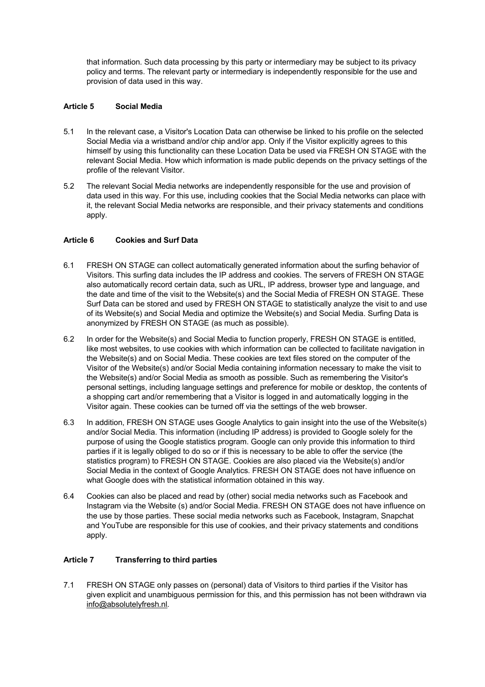that information. Such data processing by this party or intermediary may be subject to its privacy policy and terms. The relevant party or intermediary is independently responsible for the use and provision of data used in this way.

## **Article 5 Social Media**

- 5.1 In the relevant case, a Visitor's Location Data can otherwise be linked to his profile on the selected Social Media via a wristband and/or chip and/or app. Only if the Visitor explicitly agrees to this himself by using this functionality can these Location Data be used via FRESH ON STAGE with the relevant Social Media. How which information is made public depends on the privacy settings of the profile of the relevant Visitor.
- 5.2 The relevant Social Media networks are independently responsible for the use and provision of data used in this way. For this use, including cookies that the Social Media networks can place with it, the relevant Social Media networks are responsible, and their privacy statements and conditions apply.

### **Article 6 Cookies and Surf Data**

- 6.1 FRESH ON STAGE can collect automatically generated information about the surfing behavior of Visitors. This surfing data includes the IP address and cookies. The servers of FRESH ON STAGE also automatically record certain data, such as URL, IP address, browser type and language, and the date and time of the visit to the Website(s) and the Social Media of FRESH ON STAGE. These Surf Data can be stored and used by FRESH ON STAGE to statistically analyze the visit to and use of its Website(s) and Social Media and optimize the Website(s) and Social Media. Surfing Data is anonymized by FRESH ON STAGE (as much as possible).
- 6.2 In order for the Website(s) and Social Media to function properly, FRESH ON STAGE is entitled, like most websites, to use cookies with which information can be collected to facilitate navigation in the Website(s) and on Social Media. These cookies are text files stored on the computer of the Visitor of the Website(s) and/or Social Media containing information necessary to make the visit to the Website(s) and/or Social Media as smooth as possible. Such as remembering the Visitor's personal settings, including language settings and preference for mobile or desktop, the contents of a shopping cart and/or remembering that a Visitor is logged in and automatically logging in the Visitor again. These cookies can be turned off via the settings of the web browser.
- 6.3 In addition, FRESH ON STAGE uses Google Analytics to gain insight into the use of the Website(s) and/or Social Media. This information (including IP address) is provided to Google solely for the purpose of using the Google statistics program. Google can only provide this information to third parties if it is legally obliged to do so or if this is necessary to be able to offer the service (the statistics program) to FRESH ON STAGE. Cookies are also placed via the Website(s) and/or Social Media in the context of Google Analytics. FRESH ON STAGE does not have influence on what Google does with the statistical information obtained in this way.
- 6.4 Cookies can also be placed and read by (other) social media networks such as Facebook and Instagram via the Website (s) and/or Social Media. FRESH ON STAGE does not have influence on the use by those parties. These social media networks such as Facebook, Instagram, Snapchat and YouTube are responsible for this use of cookies, and their privacy statements and conditions apply.

#### **Article 7 Transferring to third parties**

7.1 FRESH ON STAGE only passes on (personal) data of Visitors to third parties if the Visitor has given explicit and unambiguous permission for this, and this permission has not been withdrawn via info@absolutelyfresh.nl.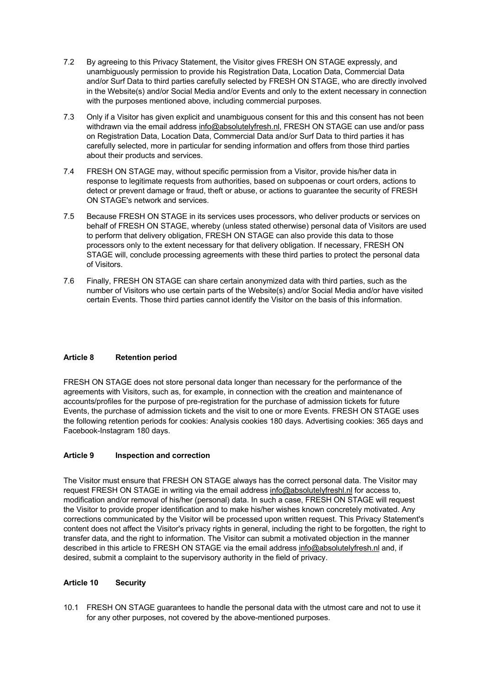- 7.2 By agreeing to this Privacy Statement, the Visitor gives FRESH ON STAGE expressly, and unambiguously permission to provide his Registration Data, Location Data, Commercial Data and/or Surf Data to third parties carefully selected by FRESH ON STAGE, who are directly involved in the Website(s) and/or Social Media and/or Events and only to the extent necessary in connection with the purposes mentioned above, including commercial purposes.
- 7.3 Only if a Visitor has given explicit and unambiguous consent for this and this consent has not been withdrawn via the email address info@absolutelyfresh.nl, FRESH ON STAGE can use and/or pass on Registration Data, Location Data, Commercial Data and/or Surf Data to third parties it has carefully selected, more in particular for sending information and offers from those third parties about their products and services.
- 7.4 FRESH ON STAGE may, without specific permission from a Visitor, provide his/her data in response to legitimate requests from authorities, based on subpoenas or court orders, actions to detect or prevent damage or fraud, theft or abuse, or actions to guarantee the security of FRESH ON STAGE's network and services.
- 7.5 Because FRESH ON STAGE in its services uses processors, who deliver products or services on behalf of FRESH ON STAGE, whereby (unless stated otherwise) personal data of Visitors are used to perform that delivery obligation, FRESH ON STAGE can also provide this data to those processors only to the extent necessary for that delivery obligation. If necessary, FRESH ON STAGE will, conclude processing agreements with these third parties to protect the personal data of Visitors.
- 7.6 Finally, FRESH ON STAGE can share certain anonymized data with third parties, such as the number of Visitors who use certain parts of the Website(s) and/or Social Media and/or have visited certain Events. Those third parties cannot identify the Visitor on the basis of this information.

## **Article 8 Retention period**

FRESH ON STAGE does not store personal data longer than necessary for the performance of the agreements with Visitors, such as, for example, in connection with the creation and maintenance of accounts/profiles for the purpose of pre-registration for the purchase of admission tickets for future Events, the purchase of admission tickets and the visit to one or more Events. FRESH ON STAGE uses the following retention periods for cookies: Analysis cookies 180 days. Advertising cookies: 365 days and Facebook-Instagram 180 days.

#### **Article 9 Inspection and correction**

The Visitor must ensure that FRESH ON STAGE always has the correct personal data. The Visitor may request FRESH ON STAGE in writing via the email address info@absolutelyfreshl.nl for access to, modification and/or removal of his/her (personal) data. In such a case, FRESH ON STAGE will request the Visitor to provide proper identification and to make his/her wishes known concretely motivated. Any corrections communicated by the Visitor will be processed upon written request. This Privacy Statement's content does not affect the Visitor's privacy rights in general, including the right to be forgotten, the right to transfer data, and the right to information. The Visitor can submit a motivated objection in the manner described in this article to FRESH ON STAGE via the email address info@absolutelyfresh.nl and, if desired, submit a complaint to the supervisory authority in the field of privacy.

#### **Article 10 Security**

10.1 FRESH ON STAGE guarantees to handle the personal data with the utmost care and not to use it for any other purposes, not covered by the above-mentioned purposes.